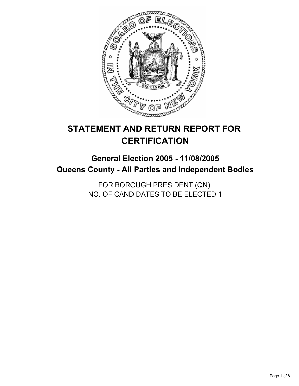

# **STATEMENT AND RETURN REPORT FOR CERTIFICATION**

## **General Election 2005 - 11/08/2005 Queens County - All Parties and Independent Bodies**

FOR BOROUGH PRESIDENT (QN) NO. OF CANDIDATES TO BE ELECTED 1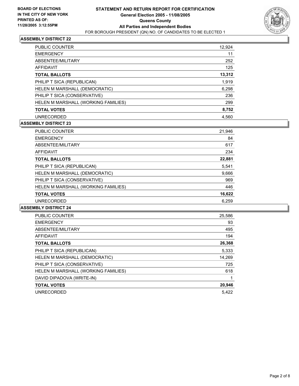

| <b>PUBLIC COUNTER</b>               | 12,924 |
|-------------------------------------|--------|
| <b>EMERGENCY</b>                    | 11     |
| ABSENTEE/MILITARY                   | 252    |
| AFFIDAVIT                           | 125    |
| <b>TOTAL BALLOTS</b>                | 13,312 |
| PHILIP T SICA (REPUBLICAN)          | 1,919  |
| HELEN M MARSHALL (DEMOCRATIC)       | 6,298  |
| PHILIP T SICA (CONSERVATIVE)        | 236    |
| HELEN M MARSHALL (WORKING FAMILIES) | 299    |
| <b>TOTAL VOTES</b>                  | 8,752  |
| <b>UNRECORDED</b>                   | 4.560  |

## **ASSEMBLY DISTRICT 23**

| <b>PUBLIC COUNTER</b>               | 21,946 |
|-------------------------------------|--------|
| <b>EMERGENCY</b>                    | 84     |
| ABSENTEE/MILITARY                   | 617    |
| AFFIDAVIT                           | 234    |
| <b>TOTAL BALLOTS</b>                | 22,881 |
| PHILIP T SICA (REPUBLICAN)          | 5,541  |
| HELEN M MARSHALL (DEMOCRATIC)       | 9,666  |
| PHILIP T SICA (CONSERVATIVE)        | 969    |
| HELEN M MARSHALL (WORKING FAMILIES) | 446    |
| <b>TOTAL VOTES</b>                  | 16,622 |
| <b>UNRECORDED</b>                   | 6.259  |

| <b>PUBLIC COUNTER</b>               | 25,586 |
|-------------------------------------|--------|
| <b>EMERGENCY</b>                    | 93     |
| ABSENTEE/MILITARY                   | 495    |
| AFFIDAVIT                           | 194    |
| <b>TOTAL BALLOTS</b>                | 26,368 |
| PHILIP T SICA (REPUBLICAN)          | 5,333  |
| HELEN M MARSHALL (DEMOCRATIC)       | 14,269 |
| PHILIP T SICA (CONSERVATIVE)        | 725    |
| HELEN M MARSHALL (WORKING FAMILIES) | 618    |
| DAVID DIPADOVA (WRITE-IN)           |        |
| <b>TOTAL VOTES</b>                  | 20,946 |
| <b>UNRECORDED</b>                   | 5.422  |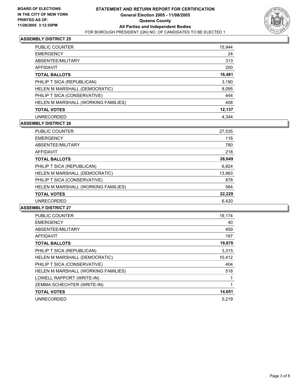

| <b>PUBLIC COUNTER</b>               | 15,944 |
|-------------------------------------|--------|
| <b>EMERGENCY</b>                    | 24     |
| ABSENTEE/MILITARY                   | 313    |
| AFFIDAVIT                           | 200    |
| <b>TOTAL BALLOTS</b>                | 16,481 |
| PHILIP T SICA (REPUBLICAN)          | 3,190  |
| HELEN M MARSHALL (DEMOCRATIC)       | 8,095  |
| PHILIP T SICA (CONSERVATIVE)        | 444    |
| HELEN M MARSHALL (WORKING FAMILIES) | 408    |
| <b>TOTAL VOTES</b>                  | 12,137 |
| <b>UNRECORDED</b>                   | 4.344  |

## **ASSEMBLY DISTRICT 26**

| <b>PUBLIC COUNTER</b>               | 27,535 |
|-------------------------------------|--------|
| <b>EMERGENCY</b>                    | 116    |
| ABSENTEE/MILITARY                   | 780    |
| AFFIDAVIT                           | 218    |
| <b>TOTAL BALLOTS</b>                | 28,649 |
| PHILIP T SICA (REPUBLICAN)          | 6,824  |
| HELEN M MARSHALL (DEMOCRATIC)       | 13,963 |
| PHILIP T SICA (CONSERVATIVE)        | 878    |
| HELEN M MARSHALL (WORKING FAMILIES) | 564    |
| <b>TOTAL VOTES</b>                  | 22,229 |
| <b>UNRECORDED</b>                   | 6.420  |

| <b>PUBLIC COUNTER</b>               | 19,174 |
|-------------------------------------|--------|
| <b>EMERGENCY</b>                    | 40     |
| ABSENTEE/MILITARY                   | 459    |
| AFFIDAVIT                           | 197    |
| <b>TOTAL BALLOTS</b>                | 19,870 |
| PHILIP T SICA (REPUBLICAN)          | 3.315  |
| HELEN M MARSHALL (DEMOCRATIC)       | 10,412 |
| PHILIP T SICA (CONSERVATIVE)        | 404    |
| HELEN M MARSHALL (WORKING FAMILIES) | 518    |
| LOWELL RAPPORT (WRITE-IN)           |        |
| ZEMMA SCHECHTER (WRITE-IN)          |        |
| <b>TOTAL VOTES</b>                  | 14,651 |
| <b>UNRECORDED</b>                   | 5.219  |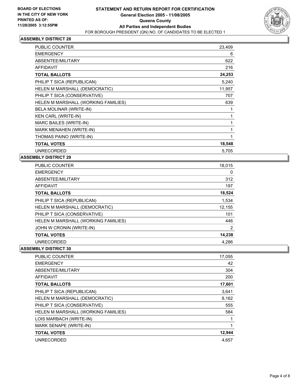

| PUBLIC COUNTER                      | 23,409 |
|-------------------------------------|--------|
| <b>EMERGENCY</b>                    | 6      |
| ABSENTEE/MILITARY                   | 622    |
| <b>AFFIDAVIT</b>                    | 216    |
| <b>TOTAL BALLOTS</b>                | 24,253 |
| PHILIP T SICA (REPUBLICAN)          | 5,240  |
| HELEN M MARSHALL (DEMOCRATIC)       | 11,957 |
| PHILIP T SICA (CONSERVATIVE)        | 707    |
| HELEN M MARSHALL (WORKING FAMILIES) | 639    |
| BELA MOLINAR (WRITE-IN)             |        |
| <b>KEN CARL (WRITE-IN)</b>          |        |
| MARC BAILES (WRITE-IN)              |        |
| MARK MENAHEN (WRITE-IN)             |        |
| THOMAS PAINO (WRITE-IN)             |        |
| <b>TOTAL VOTES</b>                  | 18,548 |
| <b>UNRECORDED</b>                   | 5.705  |

## **ASSEMBLY DISTRICT 29**

| <b>PUBLIC COUNTER</b>               | 18,015 |
|-------------------------------------|--------|
| <b>EMERGENCY</b>                    | 0      |
| ABSENTEE/MILITARY                   | 312    |
| <b>AFFIDAVIT</b>                    | 197    |
| <b>TOTAL BALLOTS</b>                | 18,524 |
| PHILIP T SICA (REPUBLICAN)          | 1,534  |
| HELEN M MARSHALL (DEMOCRATIC)       | 12,155 |
| PHILIP T SICA (CONSERVATIVE)        | 101    |
| HELEN M MARSHALL (WORKING FAMILIES) | 446    |
| JOHN W CRONIN (WRITE-IN)            | 2      |
| <b>TOTAL VOTES</b>                  | 14,238 |
| <b>UNRECORDED</b>                   | 4.286  |

| <b>PUBLIC COUNTER</b>               | 17,055 |
|-------------------------------------|--------|
| <b>EMERGENCY</b>                    | 42     |
| ABSENTEE/MILITARY                   | 304    |
| AFFIDAVIT                           | 200    |
| <b>TOTAL BALLOTS</b>                | 17,601 |
| PHILIP T SICA (REPUBLICAN)          | 3,641  |
| HELEN M MARSHALL (DEMOCRATIC)       | 8,162  |
| PHILIP T SICA (CONSERVATIVE)        | 555    |
| HELEN M MARSHALL (WORKING FAMILIES) | 584    |
| LOIS MARBACH (WRITE-IN)             |        |
| MARK SENAPE (WRITE-IN)              |        |
| <b>TOTAL VOTES</b>                  | 12,944 |
| <b>UNRECORDED</b>                   | 4,657  |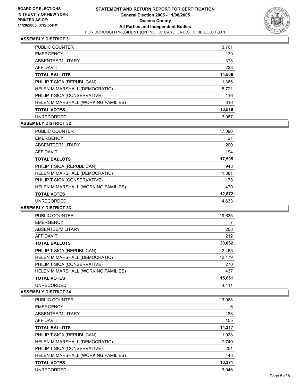

| <b>PUBLIC COUNTER</b>               | 13,761 |
|-------------------------------------|--------|
| <b>EMERGENCY</b>                    | 139    |
| ABSENTEE/MILITARY                   | 373    |
| AFFIDAVIT                           | 233    |
| <b>TOTAL BALLOTS</b>                | 14,506 |
| PHILIP T SICA (REPUBLICAN)          | 1,366  |
| HELEN M MARSHALL (DEMOCRATIC)       | 8,721  |
| PHILIP T SICA (CONSERVATIVE)        | 116    |
| HELEN M MARSHALL (WORKING FAMILIES) | 316    |
| <b>TOTAL VOTES</b>                  | 10,519 |
| <b>UNRECORDED</b>                   | 3.987  |

## **ASSEMBLY DISTRICT 32**

| <b>PUBLIC COUNTER</b>               | 17,090 |
|-------------------------------------|--------|
| <b>EMERGENCY</b>                    | 21     |
| ABSENTEE/MILITARY                   | 200    |
| AFFIDAVIT                           | 194    |
| <b>TOTAL BALLOTS</b>                | 17,505 |
| PHILIP T SICA (REPUBLICAN)          | 943    |
| HELEN M MARSHALL (DEMOCRATIC)       | 11,381 |
| PHILIP T SICA (CONSERVATIVE)        | 78     |
| HELEN M MARSHALL (WORKING FAMILIES) | 470    |
| <b>TOTAL VOTES</b>                  | 12,872 |
| <b>UNRECORDED</b>                   | 4,633  |
|                                     |        |

#### **ASSEMBLY DISTRICT 33**

| <b>PUBLIC COUNTER</b>               | 19,635 |  |
|-------------------------------------|--------|--|
| <b>EMERGENCY</b>                    |        |  |
| ABSENTEE/MILITARY                   | 208    |  |
| AFFIDAVIT                           | 212    |  |
| <b>TOTAL BALLOTS</b>                | 20,062 |  |
| PHILIP T SICA (REPUBLICAN)          | 2,465  |  |
| HELEN M MARSHALL (DEMOCRATIC)       | 12,479 |  |
| PHILIP T SICA (CONSERVATIVE)        | 270    |  |
| HELEN M MARSHALL (WORKING FAMILIES) | 437    |  |
| <b>TOTAL VOTES</b>                  | 15,651 |  |
| <b>UNRECORDED</b>                   | 4,411  |  |

| <b>PUBLIC COUNTER</b>               | 13,968 |
|-------------------------------------|--------|
| <b>EMERGENCY</b>                    | 6      |
| ABSENTEE/MILITARY                   | 188    |
| AFFIDAVIT                           | 155    |
| <b>TOTAL BALLOTS</b>                | 14,317 |
| PHILIP T SICA (REPUBLICAN)          | 1,928  |
| HELEN M MARSHALL (DEMOCRATIC)       | 7,749  |
| PHILIP T SICA (CONSERVATIVE)        | 251    |
| HELEN M MARSHALL (WORKING FAMILIES) | 443    |
| <b>TOTAL VOTES</b>                  | 10,371 |
| <b>UNRECORDED</b>                   | 3.946  |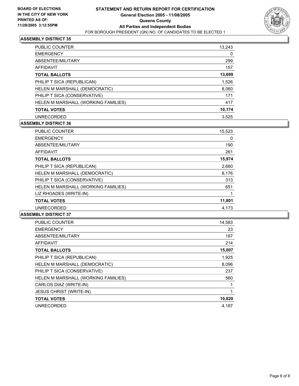

| <b>PUBLIC COUNTER</b>               | 13,243 |
|-------------------------------------|--------|
| <b>EMERGENCY</b>                    | 0      |
| ABSENTEE/MILITARY                   | 299    |
| AFFIDAVIT                           | 157    |
| <b>TOTAL BALLOTS</b>                | 13,699 |
| PHILIP T SICA (REPUBLICAN)          | 1,526  |
| HELEN M MARSHALL (DEMOCRATIC)       | 8,060  |
| PHILIP T SICA (CONSERVATIVE)        | 171    |
| HELEN M MARSHALL (WORKING FAMILIES) | 417    |
| <b>TOTAL VOTES</b>                  | 10,174 |
| <b>UNRECORDED</b>                   | 3.525  |

## **ASSEMBLY DISTRICT 36**

| PUBLIC COUNTER                      | 15,523 |
|-------------------------------------|--------|
| <b>EMERGENCY</b>                    | 0      |
| ABSENTEE/MILITARY                   | 190    |
| <b>AFFIDAVIT</b>                    | 261    |
| <b>TOTAL BALLOTS</b>                | 15,974 |
| PHILIP T SICA (REPUBLICAN)          | 2,660  |
| HELEN M MARSHALL (DEMOCRATIC)       | 8,176  |
| PHILIP T SICA (CONSERVATIVE)        | 313    |
| HELEN M MARSHALL (WORKING FAMILIES) | 651    |
| LIZ RHOADES (WRITE-IN)              |        |
| <b>TOTAL VOTES</b>                  | 11,801 |
| <b>UNRECORDED</b>                   | 4,173  |

| <b>PUBLIC COUNTER</b>               | 14,583 |
|-------------------------------------|--------|
| <b>EMERGENCY</b>                    | 23     |
| ABSENTEE/MILITARY                   | 187    |
| AFFIDAVIT                           | 214    |
| <b>TOTAL BALLOTS</b>                | 15,007 |
| PHILIP T SICA (REPUBLICAN)          | 1,925  |
| HELEN M MARSHALL (DEMOCRATIC)       | 8,096  |
| PHILIP T SICA (CONSERVATIVE)        | 237    |
| HELEN M MARSHALL (WORKING FAMILIES) | 560    |
| CARLOS DIAZ (WRITE-IN)              |        |
| <b>JESUS CHRIST (WRITE-IN)</b>      |        |
| <b>TOTAL VOTES</b>                  | 10,820 |
| <b>UNRECORDED</b>                   | 4,187  |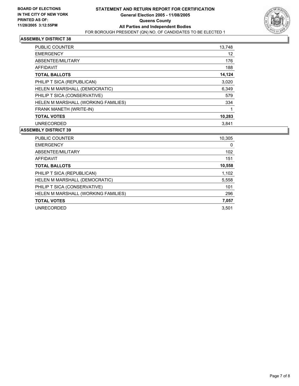

| <b>PUBLIC COUNTER</b>               | 13,748 |
|-------------------------------------|--------|
| <b>EMERGENCY</b>                    | 12     |
| ABSENTEE/MILITARY                   | 176    |
| AFFIDAVIT                           | 188    |
| <b>TOTAL BALLOTS</b>                | 14,124 |
| PHILIP T SICA (REPUBLICAN)          | 3,020  |
| HELEN M MARSHALL (DEMOCRATIC)       | 6,349  |
| PHILIP T SICA (CONSERVATIVE)        | 579    |
| HELEN M MARSHALL (WORKING FAMILIES) | 334    |
| FRANK MANETH (WRITE-IN)             |        |
| <b>TOTAL VOTES</b>                  | 10,283 |
| <b>UNRECORDED</b>                   | 3.841  |

| <b>PUBLIC COUNTER</b>               | 10,305 |
|-------------------------------------|--------|
| <b>EMERGENCY</b>                    | 0      |
| ABSENTEE/MILITARY                   | 102    |
| AFFIDAVIT                           | 151    |
| <b>TOTAL BALLOTS</b>                | 10,558 |
| PHILIP T SICA (REPUBLICAN)          | 1,102  |
| HELEN M MARSHALL (DEMOCRATIC)       | 5,558  |
| PHILIP T SICA (CONSERVATIVE)        | 101    |
| HELEN M MARSHALL (WORKING FAMILIES) | 296    |
| <b>TOTAL VOTES</b>                  | 7,057  |
| <b>UNRECORDED</b>                   | 3.501  |